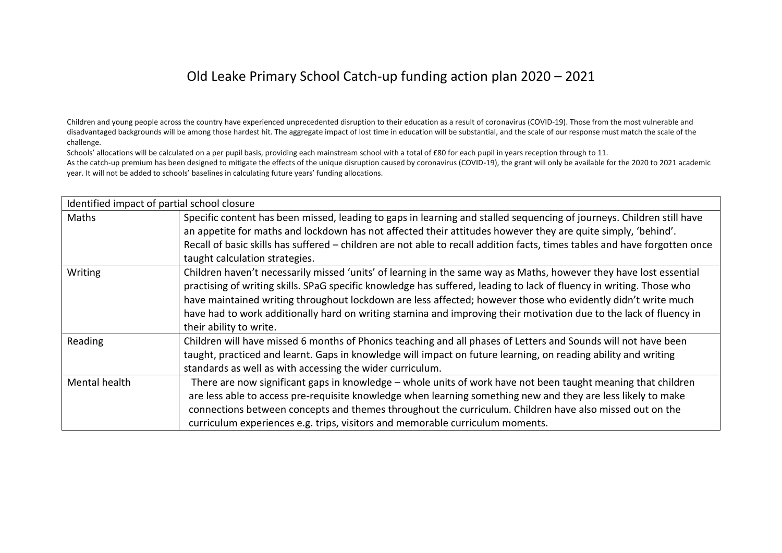## Old Leake Primary School Catch-up funding action plan 2020 – 2021

Children and young people across the country have experienced unprecedented disruption to their education as a result of coronavirus (COVID-19). Those from the most vulnerable and disadvantaged backgrounds will be among those hardest hit. The aggregate impact of lost time in education will be substantial, and the scale of our response must match the scale of the challenge.

Schools' allocations will be calculated on a per pupil basis, providing each mainstream school with a total of £80 for each pupil in years reception through to 11.

As the catch-up premium has been designed to mitigate the effects of the unique disruption caused by coronavirus (COVID-19), the grant will only be available for the 2020 to 2021 academic year. It will not be added to schools' baselines in calculating future years' funding allocations.

| Identified impact of partial school closure |                                                                                                                                                                                                                                                                                                                                                                                                                                                                                                             |  |  |
|---------------------------------------------|-------------------------------------------------------------------------------------------------------------------------------------------------------------------------------------------------------------------------------------------------------------------------------------------------------------------------------------------------------------------------------------------------------------------------------------------------------------------------------------------------------------|--|--|
| Maths                                       | Specific content has been missed, leading to gaps in learning and stalled sequencing of journeys. Children still have<br>an appetite for maths and lockdown has not affected their attitudes however they are quite simply, 'behind'.<br>Recall of basic skills has suffered - children are not able to recall addition facts, times tables and have forgotten once<br>taught calculation strategies.                                                                                                       |  |  |
| Writing                                     | Children haven't necessarily missed 'units' of learning in the same way as Maths, however they have lost essential<br>practising of writing skills. SPaG specific knowledge has suffered, leading to lack of fluency in writing. Those who<br>have maintained writing throughout lockdown are less affected; however those who evidently didn't write much<br>have had to work additionally hard on writing stamina and improving their motivation due to the lack of fluency in<br>their ability to write. |  |  |
| Reading                                     | Children will have missed 6 months of Phonics teaching and all phases of Letters and Sounds will not have been<br>taught, practiced and learnt. Gaps in knowledge will impact on future learning, on reading ability and writing<br>standards as well as with accessing the wider curriculum.                                                                                                                                                                                                               |  |  |
| Mental health                               | There are now significant gaps in knowledge - whole units of work have not been taught meaning that children<br>are less able to access pre-requisite knowledge when learning something new and they are less likely to make<br>connections between concepts and themes throughout the curriculum. Children have also missed out on the<br>curriculum experiences e.g. trips, visitors and memorable curriculum moments.                                                                                    |  |  |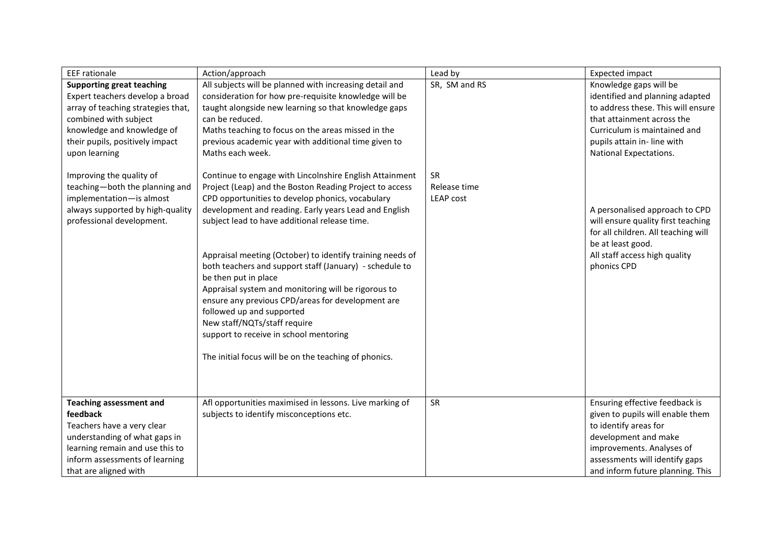| <b>EEF</b> rationale                                                                                                                                                                                                                                                                                                                                                            | Action/approach                                                                                                                                                                                                                                                                                                                                                                                                                                                                                                                                                                                                                                                                                                                                                                                                                                                                                                                                                                                                                               | Lead by                                                 | <b>Expected impact</b>                                                                                                                                                                                                                                                                                                                                                                                     |
|---------------------------------------------------------------------------------------------------------------------------------------------------------------------------------------------------------------------------------------------------------------------------------------------------------------------------------------------------------------------------------|-----------------------------------------------------------------------------------------------------------------------------------------------------------------------------------------------------------------------------------------------------------------------------------------------------------------------------------------------------------------------------------------------------------------------------------------------------------------------------------------------------------------------------------------------------------------------------------------------------------------------------------------------------------------------------------------------------------------------------------------------------------------------------------------------------------------------------------------------------------------------------------------------------------------------------------------------------------------------------------------------------------------------------------------------|---------------------------------------------------------|------------------------------------------------------------------------------------------------------------------------------------------------------------------------------------------------------------------------------------------------------------------------------------------------------------------------------------------------------------------------------------------------------------|
| <b>Supporting great teaching</b><br>Expert teachers develop a broad<br>array of teaching strategies that,<br>combined with subject<br>knowledge and knowledge of<br>their pupils, positively impact<br>upon learning<br>Improving the quality of<br>teaching-both the planning and<br>implementation-is almost<br>always supported by high-quality<br>professional development. | All subjects will be planned with increasing detail and<br>consideration for how pre-requisite knowledge will be<br>taught alongside new learning so that knowledge gaps<br>can be reduced.<br>Maths teaching to focus on the areas missed in the<br>previous academic year with additional time given to<br>Maths each week.<br>Continue to engage with Lincolnshire English Attainment<br>Project (Leap) and the Boston Reading Project to access<br>CPD opportunities to develop phonics, vocabulary<br>development and reading. Early years Lead and English<br>subject lead to have additional release time.<br>Appraisal meeting (October) to identify training needs of<br>both teachers and support staff (January) - schedule to<br>be then put in place<br>Appraisal system and monitoring will be rigorous to<br>ensure any previous CPD/areas for development are<br>followed up and supported<br>New staff/NQTs/staff require<br>support to receive in school mentoring<br>The initial focus will be on the teaching of phonics. | SR, SM and RS<br>SR<br>Release time<br><b>LEAP cost</b> | Knowledge gaps will be<br>identified and planning adapted<br>to address these. This will ensure<br>that attainment across the<br>Curriculum is maintained and<br>pupils attain in- line with<br>National Expectations.<br>A personalised approach to CPD<br>will ensure quality first teaching<br>for all children. All teaching will<br>be at least good.<br>All staff access high quality<br>phonics CPD |
| <b>Teaching assessment and</b><br>feedback<br>Teachers have a very clear                                                                                                                                                                                                                                                                                                        | Afl opportunities maximised in lessons. Live marking of<br>subjects to identify misconceptions etc.                                                                                                                                                                                                                                                                                                                                                                                                                                                                                                                                                                                                                                                                                                                                                                                                                                                                                                                                           | SR                                                      | Ensuring effective feedback is<br>given to pupils will enable them<br>to identify areas for                                                                                                                                                                                                                                                                                                                |
| understanding of what gaps in                                                                                                                                                                                                                                                                                                                                                   |                                                                                                                                                                                                                                                                                                                                                                                                                                                                                                                                                                                                                                                                                                                                                                                                                                                                                                                                                                                                                                               |                                                         | development and make                                                                                                                                                                                                                                                                                                                                                                                       |
| learning remain and use this to                                                                                                                                                                                                                                                                                                                                                 |                                                                                                                                                                                                                                                                                                                                                                                                                                                                                                                                                                                                                                                                                                                                                                                                                                                                                                                                                                                                                                               |                                                         | improvements. Analyses of                                                                                                                                                                                                                                                                                                                                                                                  |
| inform assessments of learning                                                                                                                                                                                                                                                                                                                                                  |                                                                                                                                                                                                                                                                                                                                                                                                                                                                                                                                                                                                                                                                                                                                                                                                                                                                                                                                                                                                                                               |                                                         | assessments will identify gaps                                                                                                                                                                                                                                                                                                                                                                             |
| that are aligned with                                                                                                                                                                                                                                                                                                                                                           |                                                                                                                                                                                                                                                                                                                                                                                                                                                                                                                                                                                                                                                                                                                                                                                                                                                                                                                                                                                                                                               |                                                         | and inform future planning. This                                                                                                                                                                                                                                                                                                                                                                           |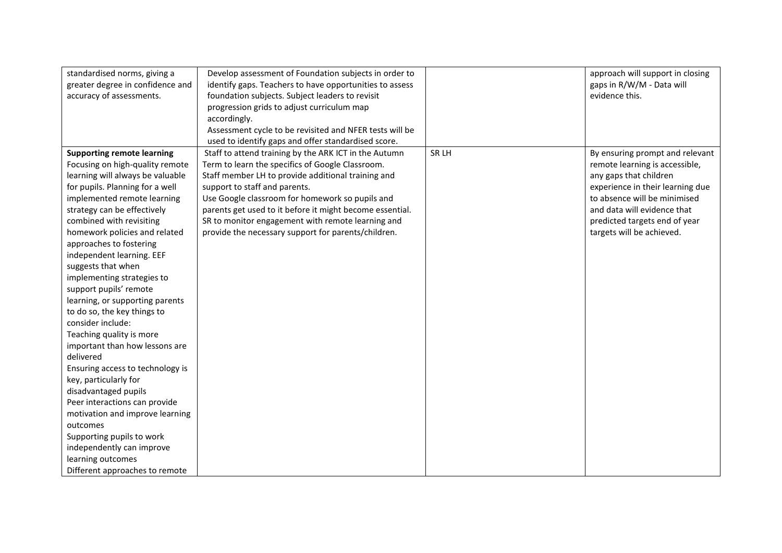| standardised norms, giving a      | Develop assessment of Foundation subjects in order to    |       | approach will support in closing |
|-----------------------------------|----------------------------------------------------------|-------|----------------------------------|
| greater degree in confidence and  | identify gaps. Teachers to have opportunities to assess  |       | gaps in R/W/M - Data will        |
| accuracy of assessments.          | foundation subjects. Subject leaders to revisit          |       | evidence this.                   |
|                                   | progression grids to adjust curriculum map               |       |                                  |
|                                   | accordingly.                                             |       |                                  |
|                                   | Assessment cycle to be revisited and NFER tests will be  |       |                                  |
|                                   | used to identify gaps and offer standardised score.      |       |                                  |
| <b>Supporting remote learning</b> | Staff to attend training by the ARK ICT in the Autumn    | SR LH | By ensuring prompt and relevant  |
| Focusing on high-quality remote   | Term to learn the specifics of Google Classroom.         |       | remote learning is accessible,   |
| learning will always be valuable  | Staff member LH to provide additional training and       |       | any gaps that children           |
| for pupils. Planning for a well   | support to staff and parents.                            |       | experience in their learning due |
| implemented remote learning       | Use Google classroom for homework so pupils and          |       | to absence will be minimised     |
| strategy can be effectively       | parents get used to it before it might become essential. |       | and data will evidence that      |
| combined with revisiting          | SR to monitor engagement with remote learning and        |       | predicted targets end of year    |
| homework policies and related     | provide the necessary support for parents/children.      |       | targets will be achieved.        |
| approaches to fostering           |                                                          |       |                                  |
| independent learning. EEF         |                                                          |       |                                  |
| suggests that when                |                                                          |       |                                  |
| implementing strategies to        |                                                          |       |                                  |
| support pupils' remote            |                                                          |       |                                  |
| learning, or supporting parents   |                                                          |       |                                  |
| to do so, the key things to       |                                                          |       |                                  |
| consider include:                 |                                                          |       |                                  |
| Teaching quality is more          |                                                          |       |                                  |
| important than how lessons are    |                                                          |       |                                  |
| delivered                         |                                                          |       |                                  |
| Ensuring access to technology is  |                                                          |       |                                  |
| key, particularly for             |                                                          |       |                                  |
| disadvantaged pupils              |                                                          |       |                                  |
| Peer interactions can provide     |                                                          |       |                                  |
| motivation and improve learning   |                                                          |       |                                  |
| outcomes                          |                                                          |       |                                  |
| Supporting pupils to work         |                                                          |       |                                  |
| independently can improve         |                                                          |       |                                  |
| learning outcomes                 |                                                          |       |                                  |
| Different approaches to remote    |                                                          |       |                                  |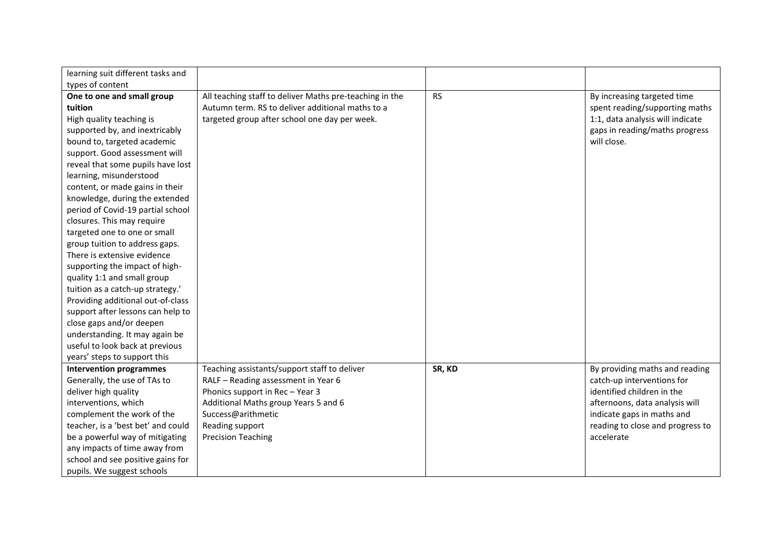| learning suit different tasks and  |                                                         |           |                                  |
|------------------------------------|---------------------------------------------------------|-----------|----------------------------------|
| types of content                   |                                                         |           |                                  |
| One to one and small group         | All teaching staff to deliver Maths pre-teaching in the | <b>RS</b> | By increasing targeted time      |
| tuition                            | Autumn term. RS to deliver additional maths to a        |           | spent reading/supporting maths   |
| High quality teaching is           | targeted group after school one day per week.           |           | 1:1, data analysis will indicate |
| supported by, and inextricably     |                                                         |           | gaps in reading/maths progress   |
| bound to, targeted academic        |                                                         |           | will close.                      |
| support. Good assessment will      |                                                         |           |                                  |
| reveal that some pupils have lost  |                                                         |           |                                  |
| learning, misunderstood            |                                                         |           |                                  |
| content, or made gains in their    |                                                         |           |                                  |
| knowledge, during the extended     |                                                         |           |                                  |
| period of Covid-19 partial school  |                                                         |           |                                  |
| closures. This may require         |                                                         |           |                                  |
| targeted one to one or small       |                                                         |           |                                  |
| group tuition to address gaps.     |                                                         |           |                                  |
| There is extensive evidence        |                                                         |           |                                  |
| supporting the impact of high-     |                                                         |           |                                  |
| quality 1:1 and small group        |                                                         |           |                                  |
| tuition as a catch-up strategy.'   |                                                         |           |                                  |
| Providing additional out-of-class  |                                                         |           |                                  |
| support after lessons can help to  |                                                         |           |                                  |
| close gaps and/or deepen           |                                                         |           |                                  |
| understanding. It may again be     |                                                         |           |                                  |
| useful to look back at previous    |                                                         |           |                                  |
| years' steps to support this       |                                                         |           |                                  |
| <b>Intervention programmes</b>     | Teaching assistants/support staff to deliver            | SR, KD    | By providing maths and reading   |
| Generally, the use of TAs to       | RALF - Reading assessment in Year 6                     |           | catch-up interventions for       |
| deliver high quality               | Phonics support in Rec-Year 3                           |           | identified children in the       |
| interventions, which               | Additional Maths group Years 5 and 6                    |           | afternoons, data analysis will   |
| complement the work of the         | Success@arithmetic                                      |           | indicate gaps in maths and       |
| teacher, is a 'best bet' and could | Reading support                                         |           | reading to close and progress to |
| be a powerful way of mitigating    | <b>Precision Teaching</b>                               |           | accelerate                       |
| any impacts of time away from      |                                                         |           |                                  |
| school and see positive gains for  |                                                         |           |                                  |
| pupils. We suggest schools         |                                                         |           |                                  |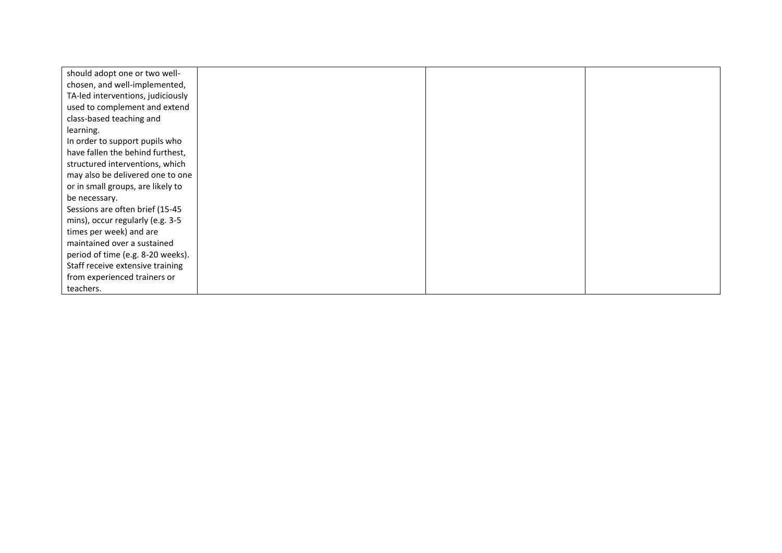| should adopt one or two well-     |  |  |
|-----------------------------------|--|--|
| chosen, and well-implemented,     |  |  |
| TA-led interventions, judiciously |  |  |
| used to complement and extend     |  |  |
| class-based teaching and          |  |  |
| learning.                         |  |  |
| In order to support pupils who    |  |  |
| have fallen the behind furthest,  |  |  |
| structured interventions, which   |  |  |
| may also be delivered one to one  |  |  |
| or in small groups, are likely to |  |  |
| be necessary.                     |  |  |
| Sessions are often brief (15-45   |  |  |
| mins), occur regularly (e.g. 3-5  |  |  |
| times per week) and are           |  |  |
| maintained over a sustained       |  |  |
| period of time (e.g. 8-20 weeks). |  |  |
| Staff receive extensive training  |  |  |
| from experienced trainers or      |  |  |
| teachers.                         |  |  |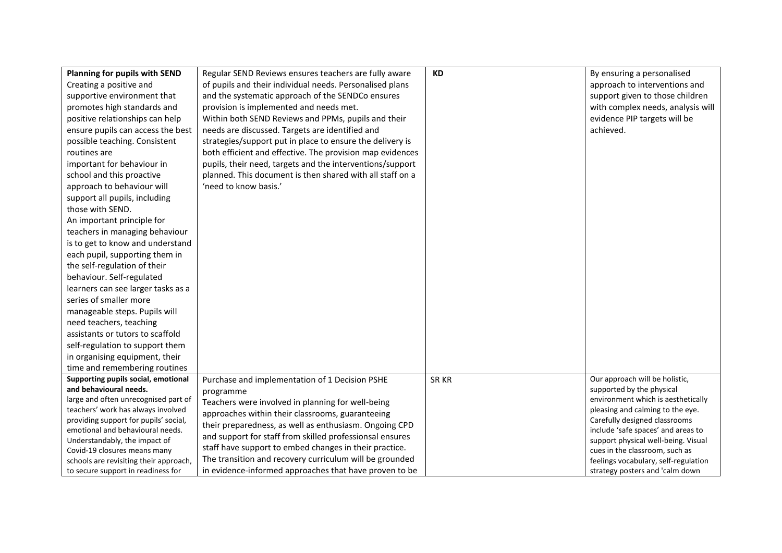| Planning for pupils with SEND<br>Creating a positive and<br>supportive environment that<br>promotes high standards and<br>positive relationships can help<br>ensure pupils can access the best<br>possible teaching. Consistent<br>routines are<br>important for behaviour in<br>school and this proactive<br>approach to behaviour will<br>support all pupils, including<br>those with SEND.<br>An important principle for<br>teachers in managing behaviour<br>is to get to know and understand<br>each pupil, supporting them in<br>the self-regulation of their<br>behaviour. Self-regulated<br>learners can see larger tasks as a<br>series of smaller more<br>manageable steps. Pupils will<br>need teachers, teaching<br>assistants or tutors to scaffold<br>self-regulation to support them<br>in organising equipment, their<br>time and remembering routines | Regular SEND Reviews ensures teachers are fully aware<br>of pupils and their individual needs. Personalised plans<br>and the systematic approach of the SENDCo ensures<br>provision is implemented and needs met.<br>Within both SEND Reviews and PPMs, pupils and their<br>needs are discussed. Targets are identified and<br>strategies/support put in place to ensure the delivery is<br>both efficient and effective. The provision map evidences<br>pupils, their need, targets and the interventions/support<br>planned. This document is then shared with all staff on a<br>'need to know basis.' | <b>KD</b> | By ensuring a personalised<br>approach to interventions and<br>support given to those children<br>with complex needs, analysis will<br>evidence PIP targets will be<br>achieved.                                                                                                                                                                                 |
|------------------------------------------------------------------------------------------------------------------------------------------------------------------------------------------------------------------------------------------------------------------------------------------------------------------------------------------------------------------------------------------------------------------------------------------------------------------------------------------------------------------------------------------------------------------------------------------------------------------------------------------------------------------------------------------------------------------------------------------------------------------------------------------------------------------------------------------------------------------------|----------------------------------------------------------------------------------------------------------------------------------------------------------------------------------------------------------------------------------------------------------------------------------------------------------------------------------------------------------------------------------------------------------------------------------------------------------------------------------------------------------------------------------------------------------------------------------------------------------|-----------|------------------------------------------------------------------------------------------------------------------------------------------------------------------------------------------------------------------------------------------------------------------------------------------------------------------------------------------------------------------|
| Supporting pupils social, emotional<br>and behavioural needs.<br>large and often unrecognised part of<br>teachers' work has always involved<br>providing support for pupils' social,<br>emotional and behavioural needs.<br>Understandably, the impact of<br>Covid-19 closures means many<br>schools are revisiting their approach,<br>to secure support in readiness for                                                                                                                                                                                                                                                                                                                                                                                                                                                                                              | Purchase and implementation of 1 Decision PSHE<br>programme<br>Teachers were involved in planning for well-being<br>approaches within their classrooms, guaranteeing<br>their preparedness, as well as enthusiasm. Ongoing CPD<br>and support for staff from skilled professionsal ensures<br>staff have support to embed changes in their practice.<br>The transition and recovery curriculum will be grounded<br>in evidence-informed approaches that have proven to be                                                                                                                                | SR KR     | Our approach will be holistic,<br>supported by the physical<br>environment which is aesthetically<br>pleasing and calming to the eye.<br>Carefully designed classrooms<br>include 'safe spaces' and areas to<br>support physical well-being. Visual<br>cues in the classroom, such as<br>feelings vocabulary, self-regulation<br>strategy posters and 'calm down |